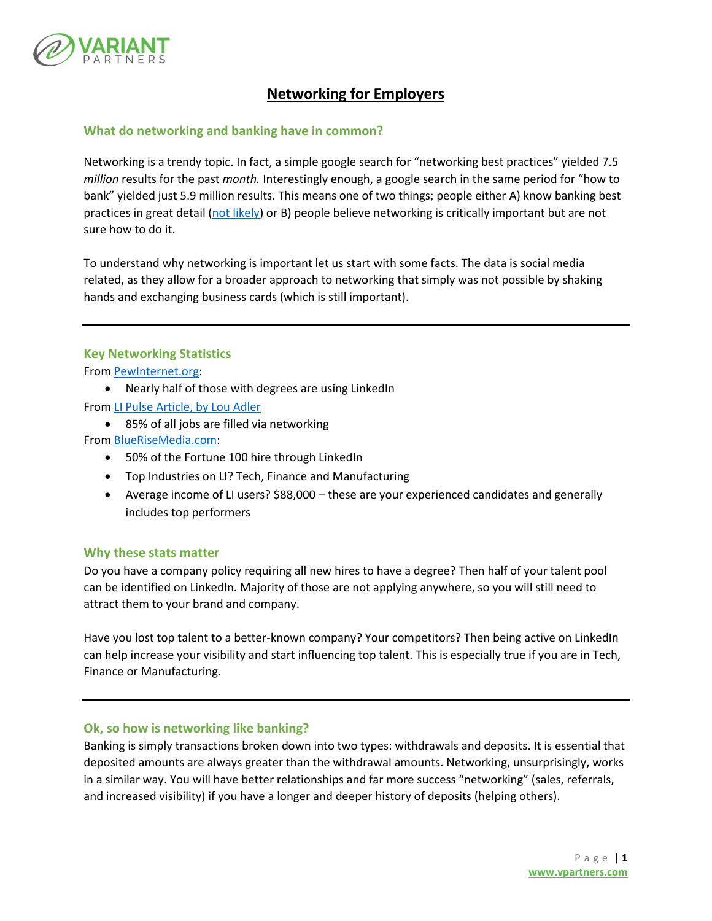

# **Networking for Employers**

## **What do networking and banking have in common?**

Networking is a trendy topic. In fact, a simple google search for "networking best practices" yielded 7.5 *million* results for the past *month.* Interestingly enough, a google search in the same period for "how to bank" yielded just 5.9 million results. This means one of two things; people either A) know banking best practices in great detail [\(not likely\)](https://www.financialeducatorscouncil.org/national-financial-literacy-test/) or B) people believe networking is critically important but are not sure how to do it.

To understand why networking is important let us start with some facts. The data is social media related, as they allow for a broader approach to networking that simply was not possible by shaking hands and exchanging business cards (which is still important).

## **Key Networking Statistics**

From [PewInternet.org:](http://www.pewinternet.org/fact-sheet/social-media/)

Nearly half of those with degrees are using LinkedIn

From [LI Pulse Article, by Lou Adler](https://www.linkedin.com/pulse/new-survey-reveals-85-all-jobs-filled-via-networking-lou-adler)

• 85% of all jobs are filled via networking

From [BlueRiseMedia.com:](http://www.bluerisemedia.com/linkedin-stats-demographics-of-the-professional-network-infographic/)

- 50% of the Fortune 100 hire through LinkedIn
- Top Industries on LI? Tech, Finance and Manufacturing
- Average income of LI users? \$88,000 these are your experienced candidates and generally includes top performers

#### **Why these stats matter**

Do you have a company policy requiring all new hires to have a degree? Then half of your talent pool can be identified on LinkedIn. Majority of those are not applying anywhere, so you will still need to attract them to your brand and company.

Have you lost top talent to a better-known company? Your competitors? Then being active on LinkedIn can help increase your visibility and start influencing top talent. This is especially true if you are in Tech, Finance or Manufacturing.

# **Ok, so how is networking like banking?**

Banking is simply transactions broken down into two types: withdrawals and deposits. It is essential that deposited amounts are always greater than the withdrawal amounts. Networking, unsurprisingly, works in a similar way. You will have better relationships and far more success "networking" (sales, referrals, and increased visibility) if you have a longer and deeper history of deposits (helping others).